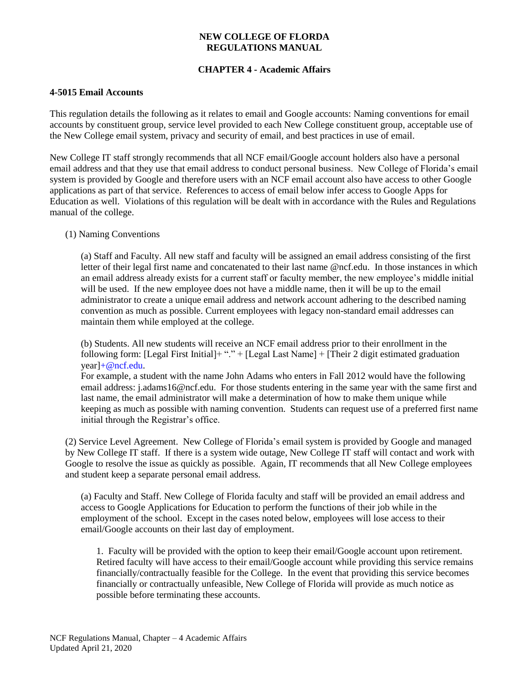### **NEW COLLEGE OF FLORDA REGULATIONS MANUAL**

# **CHAPTER 4 - Academic Affairs**

### **4-5015 Email Accounts**

This regulation details the following as it relates to email and Google accounts: Naming conventions for email accounts by constituent group, service level provided to each New College constituent group, acceptable use of the New College email system, privacy and security of email, and best practices in use of email.

New College IT staff strongly recommends that all NCF email/Google account holders also have a personal email address and that they use that email address to conduct personal business. New College of Florida's email system is provided by Google and therefore users with an NCF email account also have access to other Google applications as part of that service. References to access of email below infer access to Google Apps for Education as well. Violations of this regulation will be dealt with in accordance with the Rules and Regulations manual of the college.

#### (1) Naming Conventions

(a) Staff and Faculty. All new staff and faculty will be assigned an email address consisting of the first letter of their legal first name and concatenated to their last name @ncf.edu. In those instances in which an email address already exists for a current staff or faculty member, the new employee's middle initial will be used. If the new employee does not have a middle name, then it will be up to the email administrator to create a unique email address and network account adhering to the described naming convention as much as possible. Current employees with legacy non-standard email addresses can maintain them while employed at the college.

(b) Students. All new students will receive an NCF email address prior to their enrollment in the following form: [Legal First Initial]+ "." + [Legal Last Name] + [Their 2 digit estimated graduation year[\]+@ncf.edu.](mailto:+@ncf.edu)

For example, a student with the name John Adams who enters in Fall 2012 would have the following email address: *j.adams16@ncf.edu.* For those students entering in the same year with the same first and last name, the email administrator will make a determination of how to make them unique while keeping as much as possible with naming convention. Students can request use of a preferred first name initial through the Registrar's office.

(2) Service Level Agreement. New College of Florida's email system is provided by Google and managed by New College IT staff. If there is a system wide outage, New College IT staff will contact and work with Google to resolve the issue as quickly as possible. Again, IT recommends that all New College employees and student keep a separate personal email address.

(a) Faculty and Staff. New College of Florida faculty and staff will be provided an email address and access to Google Applications for Education to perform the functions of their job while in the employment of the school. Except in the cases noted below, employees will lose access to their email/Google accounts on their last day of employment.

1. Faculty will be provided with the option to keep their email/Google account upon retirement. Retired faculty will have access to their email/Google account while providing this service remains financially/contractually feasible for the College. In the event that providing this service becomes financially or contractually unfeasible, New College of Florida will provide as much notice as possible before terminating these accounts.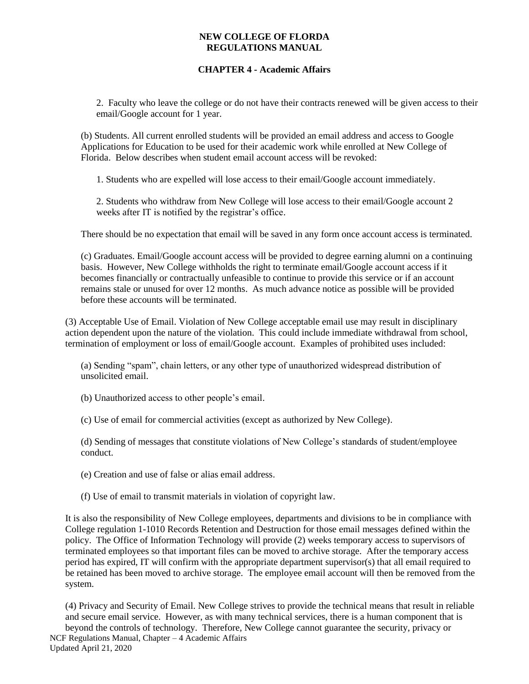#### **NEW COLLEGE OF FLORDA REGULATIONS MANUAL**

## **CHAPTER 4 - Academic Affairs**

2. Faculty who leave the college or do not have their contracts renewed will be given access to their email/Google account for 1 year.

(b) Students. All current enrolled students will be provided an email address and access to Google Applications for Education to be used for their academic work while enrolled at New College of Florida. Below describes when student email account access will be revoked:

1. Students who are expelled will lose access to their email/Google account immediately.

2. Students who withdraw from New College will lose access to their email/Google account 2 weeks after IT is notified by the registrar's office.

There should be no expectation that email will be saved in any form once account access is terminated.

(c) Graduates. Email/Google account access will be provided to degree earning alumni on a continuing basis. However, New College withholds the right to terminate email/Google account access if it becomes financially or contractually unfeasible to continue to provide this service or if an account remains stale or unused for over 12 months. As much advance notice as possible will be provided before these accounts will be terminated.

(3) Acceptable Use of Email. Violation of New College acceptable email use may result in disciplinary action dependent upon the nature of the violation. This could include immediate withdrawal from school, termination of employment or loss of email/Google account. Examples of prohibited uses included:

(a) Sending "spam", chain letters, or any other type of unauthorized widespread distribution of unsolicited email.

(b) Unauthorized access to other people's email.

(c) Use of email for commercial activities (except as authorized by New College).

(d) Sending of messages that constitute violations of New College's standards of student/employee conduct.

(e) Creation and use of false or alias email address.

(f) Use of email to transmit materials in violation of copyright law.

It is also the responsibility of New College employees, departments and divisions to be in compliance with College regulation 1-1010 Records Retention and Destruction for those email messages defined within the policy. The Office of Information Technology will provide (2) weeks temporary access to supervisors of terminated employees so that important files can be moved to archive storage. After the temporary access period has expired, IT will confirm with the appropriate department supervisor(s) that all email required to be retained has been moved to archive storage. The employee email account will then be removed from the system.

(4) Privacy and Security of Email. New College strives to provide the technical means that result in reliable and secure email service. However, as with many technical services, there is a human component that is beyond the controls of technology. Therefore, New College cannot guarantee the security, privacy or